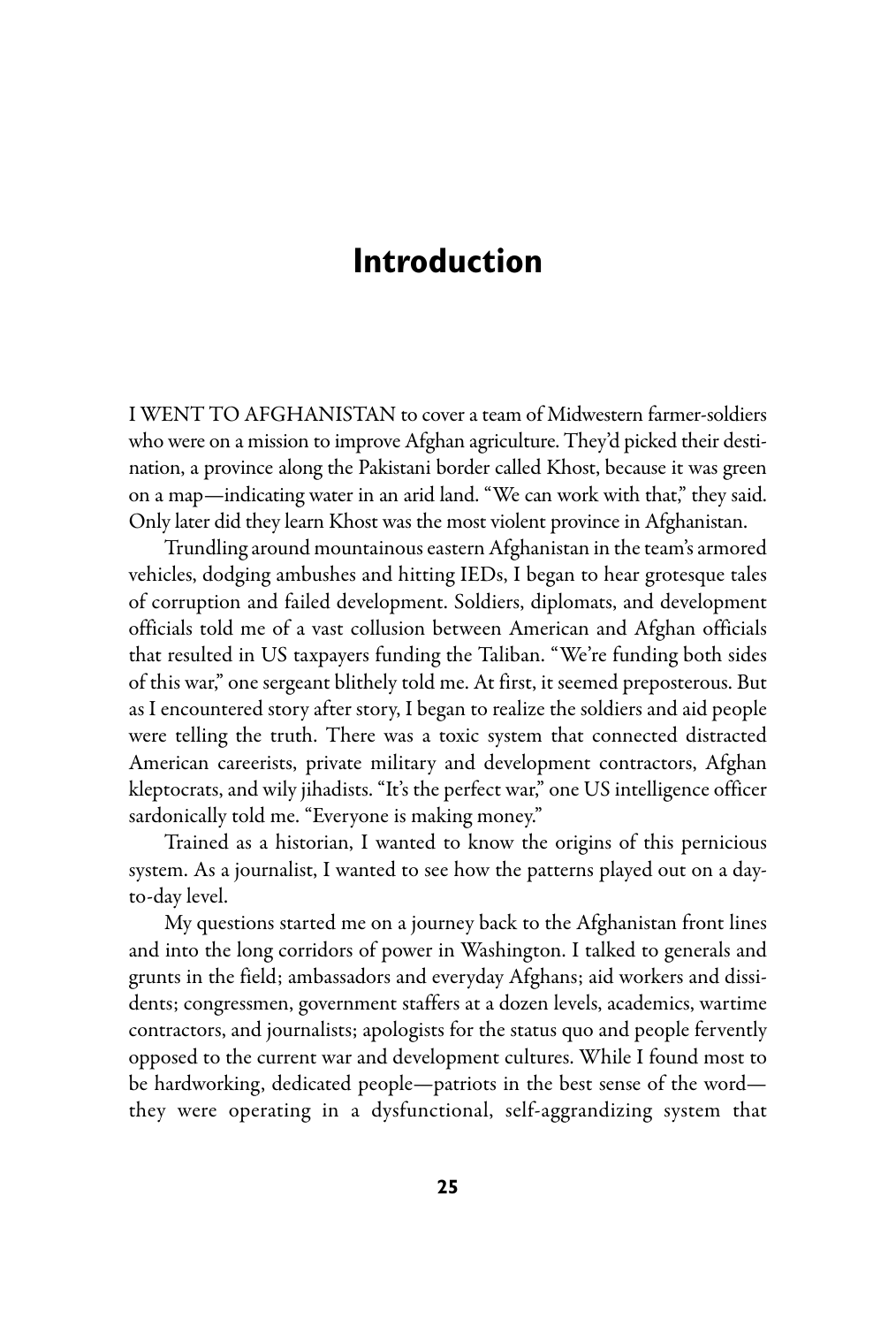## **Introduction**

I WENT TO AFGHANISTAN to cover a team of Midwestern farmer-soldiers who were on a mission to improve Afghan agriculture. They'd picked their destination, a province along the Pakistani border called Khost, because it was green on a map—indicating water in an arid land. "We can work with that," they said. Only later did they learn Khost was the most violent province in Afghanistan.

Trundling around mountainous eastern Afghanistan in the team's armored vehicles, dodging ambushes and hitting IEDs, I began to hear grotesque tales of corruption and failed development. Soldiers, diplomats, and development officials told me of a vast collusion between American and Afghan officials that resulted in US taxpayers funding the Taliban. "We're funding both sides of this war," one sergeant blithely told me. At first, it seemed preposterous. But as I encountered story after story, I began to realize the soldiers and aid people were telling the truth. There was a toxic system that connected distracted American careerists, private military and development contractors, Afghan kleptocrats,and wily jihadists. "It's the perfect war," one US intelligence officer sardonically told me. "Everyone is making money."

Trained as a historian, I wanted to know the origins of this pernicious system. As a journalist, I wanted to see how the patterns played out on a dayto-day level.

My questions started me on a journey back to the Afghanistan front lines and into the long corridors of power in Washington. I talked to generals and grunts in the field; ambassadors and everyday Afghans; aid workers and dissidents; congressmen, government staffers at a dozen levels, academics, wartime contractors, and journalists; apologists for the status quo and people fervently opposed to the current war and development cultures. While I found most to be hardworking, dedicated people—patriots in the best sense of the word they were operating in a dysfunctional, self-aggrandizing system that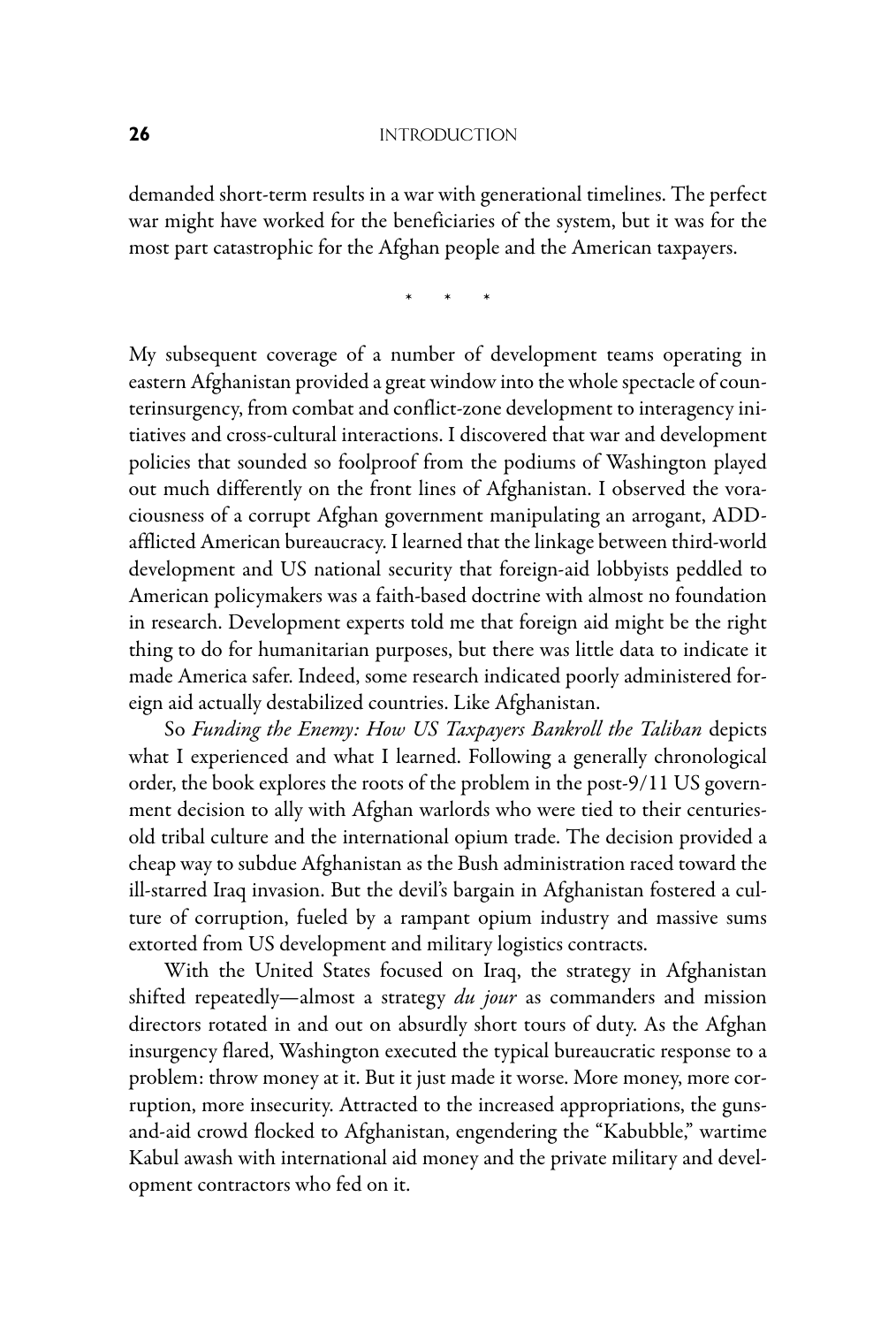## **26** INTRODUCTION

demanded short-term results in a war with generational timelines. The perfect war might have worked for the beneficiaries of the system, but it was for the most part catastrophic for the Afghan people and the American taxpayers.

\* \* \*

My subsequent coverage of a number of development teams operating in eastern Afghanistan provided a great window into the whole spectacle of counterinsurgency, from combat and conflict-zone development to interagency initiatives and cross-cultural interactions. I discovered that war and development policies that sounded so foolproof from the podiums of Washington played out much differently on the front lines of Afghanistan. I observed the voraciousness of a corrupt Afghan government manipulating an arrogant, ADDafflicted American bureaucracy. I learned that the linkage between third-world development and US national security that foreign-aid lobbyists peddled to American policymakers was a faith-based doctrine with almost no foundation in research. Development experts told me that foreign aid might be the right thing to do for humanitarian purposes, but there was little data to indicate it made America safer. Indeed, some research indicated poorly administered foreign aid actually destabilized countries. Like Afghanistan.

So *Funding the Enemy: How US Taxpayers Bankroll the Taliban* depicts what I experienced and what I learned. Following a generally chronological order, the book explores the roots of the problem in the post-9/11 US government decision to ally with Afghan warlords who were tied to their centuriesold tribal culture and the international opium trade. The decision provided a cheap way to subdue Afghanistan as the Bush administration raced toward the ill-starred Iraq invasion. But the devil's bargain in Afghanistan fostered a culture of corruption, fueled by a rampant opium industry and massive sums extorted from US development and military logistics contracts.

With the United States focused on Iraq, the strategy in Afghanistan shifted repeatedly—almost a strategy *du jour* as commanders and mission directors rotated in and out on absurdly short tours of duty. As the Afghan insurgency flared, Washington executed the typical bureaucratic response to a problem: throw money at it. But it just made it worse. More money, more corruption, more insecurity. Attracted to the increased appropriations, the gunsand-aid crowd flocked to Afghanistan, engendering the "Kabubble," wartime Kabul awash with international aid money and the private military and development contractors who fed on it.